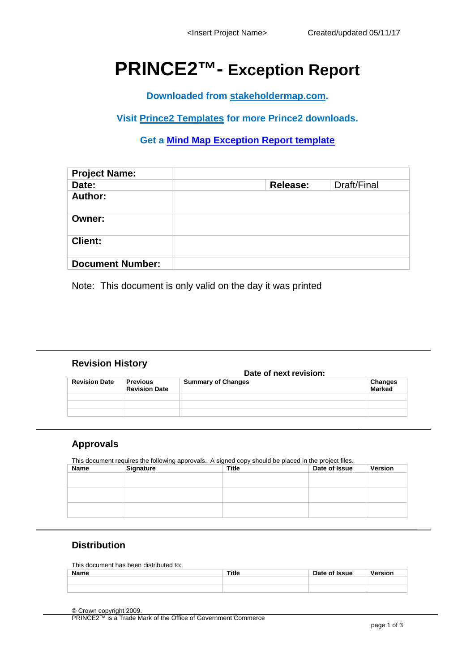# **PRINCE2™- Exception Report**

**Downloaded from [stakeholdermap.com.](https://www.stakeholdermap.com/index.html)** 

**Visit [Prince2 Templates](https://www.stakeholdermap.com/project-templates/prince-2-templates.html) for more Prince2 downloads.**

**Get a [Mind Map Exception Report template](https://www.stakeholdermap.com/project-templates/prince-2-exception-report.html)**

| <b>Project Name:</b>    |          |             |
|-------------------------|----------|-------------|
| Date:                   | Release: | Draft/Final |
| Author:                 |          |             |
| Owner:                  |          |             |
| <b>Client:</b>          |          |             |
| <b>Document Number:</b> |          |             |

Note: This document is only valid on the day it was printed

#### **Revision History**

|                      |                                         | Date of next revision:    |                          |  |
|----------------------|-----------------------------------------|---------------------------|--------------------------|--|
| <b>Revision Date</b> | <b>Previous</b><br><b>Revision Date</b> | <b>Summary of Changes</b> | Changes<br><b>Marked</b> |  |
|                      |                                         |                           |                          |  |
|                      |                                         |                           |                          |  |
|                      |                                         |                           |                          |  |

#### **Approvals**

This document requires the following approvals. A signed copy should be placed in the project files.

| Name | Signature | <b>Title</b> | Date of Issue | Version |
|------|-----------|--------------|---------------|---------|
|      |           |              |               |         |
|      |           |              |               |         |
|      |           |              |               |         |
|      |           |              |               |         |
|      |           |              |               |         |
|      |           |              |               |         |

## **Distribution**

| This document has been distributed to: |  |
|----------------------------------------|--|
|                                        |  |

| Name | <b>Title</b> | Date of Issue | Version |
|------|--------------|---------------|---------|
|      |              |               |         |
|      |              |               |         |

© Crown copyright 2009. PRINCE2™ is a Trade Mark of the Office of Government Commerce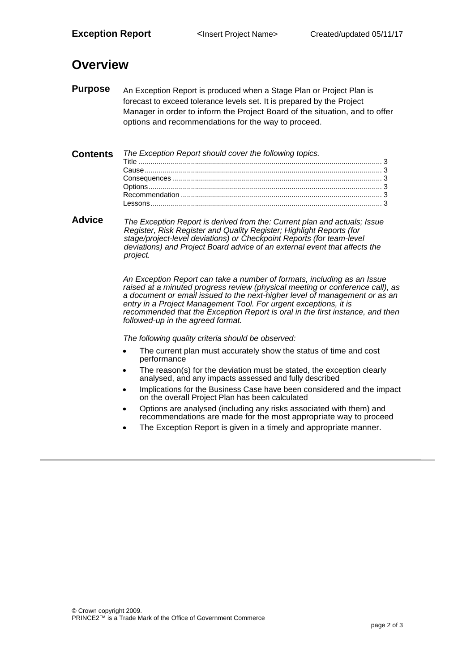# **Overview**

**Purpose** An Exception Report is produced when a Stage Plan or Project Plan is forecast to exceed tolerance levels set. It is prepared by the Project Manager in order to inform the Project Board of the situation, and to offer options and recommendations for the way to proceed.

| <b>Contents</b> The Exception Report should cover the following topics. |
|-------------------------------------------------------------------------|

**Advice** *The Exception Report is derived from the: Current plan and actuals; Issue Register, Risk Register and Quality Register; Highlight Reports (for stage/project-level deviations) or Checkpoint Reports (for team-level deviations) and Project Board advice of an external event that affects the project.*

> *An Exception Report can take a number of formats, including as an Issue raised at a minuted progress review (physical meeting or conference call), as a document or email issued to the next-higher level of management or as an entry in a Project Management Tool. For urgent exceptions, it is recommended that the Exception Report is oral in the first instance, and then followed-up in the agreed format.*

*The following quality criteria should be observed:*

- The current plan must accurately show the status of time and cost performance
- The reason(s) for the deviation must be stated, the exception clearly analysed, and any impacts assessed and fully described
- Implications for the Business Case have been considered and the impact on the overall Project Plan has been calculated
- Options are analysed (including any risks associated with them) and recommendations are made for the most appropriate way to proceed
- The Exception Report is given in a timely and appropriate manner.